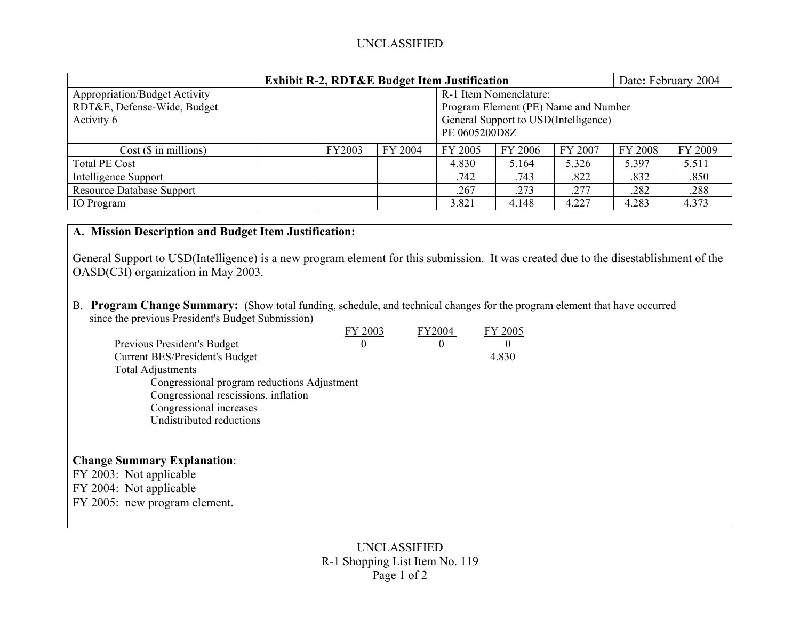## UNCLASSIFIED

| <b>Exhibit R-2, RDT&amp;E Budget Item Justification</b> |        |         |                                                       |                                      |         | Date: February 2004 |         |  |  |
|---------------------------------------------------------|--------|---------|-------------------------------------------------------|--------------------------------------|---------|---------------------|---------|--|--|
| <b>Appropriation/Budget Activity</b>                    |        |         |                                                       | R-1 Item Nomenclature:               |         |                     |         |  |  |
| RDT&E, Defense-Wide, Budget                             |        |         |                                                       | Program Element (PE) Name and Number |         |                     |         |  |  |
| Activity 6                                              |        |         | General Support to USD(Intelligence)<br>PE 0605200D8Z |                                      |         |                     |         |  |  |
| $Cost$ ( $\$\$ in millions)                             | FY2003 | FY 2004 | FY 2005                                               | FY 2006                              | FY 2007 | <b>FY 2008</b>      | FY 2009 |  |  |
| <b>Total PE Cost</b>                                    |        |         | 4.830                                                 | 5.164                                | 5.326   | 5.397               | 5.511   |  |  |
| Intelligence Support                                    |        |         | .742                                                  | .743                                 | .822    | .832                | .850    |  |  |
| <b>Resource Database Support</b>                        |        |         | .267                                                  | .273                                 | .277    | .282                | .288    |  |  |
| <b>IO</b> Program                                       |        |         | 3.821                                                 | 4.148                                | 4.227   | 4.283               | 4.373   |  |  |

## **A. Mission Description and Budget Item Justification:**

General Support to USD(Intelligence) is a new program element for this submission. It was created due to the disestablishment of the OASD(C3I) organization in May 2003.

B. **Program Change Summary:** (Show total funding, schedule, and technical changes for the program element that have occurred since the previous President's Budget Submission)

|                                             | FY 2003  | <b>FY2004</b> | FY 2005  |  |
|---------------------------------------------|----------|---------------|----------|--|
| Previous President's Budget                 | $\theta$ | $\theta$      | $\theta$ |  |
| Current BES/President's Budget              |          |               | 4.830    |  |
| <b>Total Adjustments</b>                    |          |               |          |  |
| Congressional program reductions Adjustment |          |               |          |  |
| Congressional rescissions, inflation        |          |               |          |  |
| Congressional increases                     |          |               |          |  |
| Undistributed reductions                    |          |               |          |  |
|                                             |          |               |          |  |
|                                             |          |               |          |  |
| <b>Change Summary Explanation:</b>          |          |               |          |  |
| FY 2003: Not applicable                     |          |               |          |  |
| FY 2004: Not applicable                     |          |               |          |  |
| FY 2005: new program element.               |          |               |          |  |
|                                             |          |               |          |  |
|                                             |          |               |          |  |